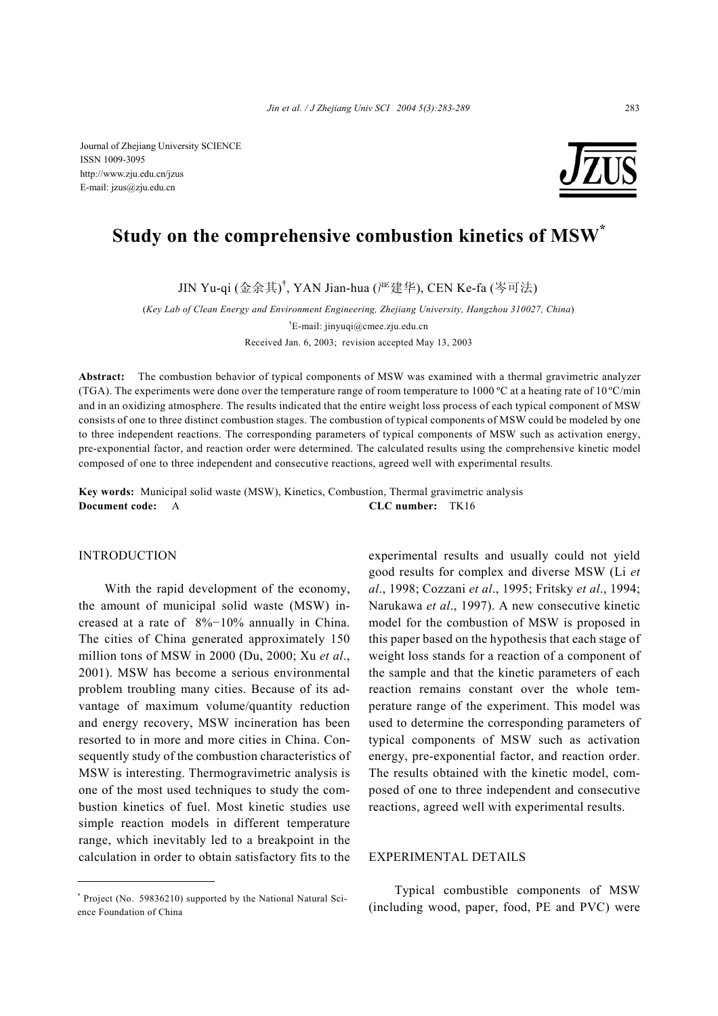Journal of Zhejiang University SCIENCE ISSN 1009-3095 http://www.zju.edu.cn/jzus E-mail: jzus@zju.edu.cn



# **Study on the comprehensive combustion kinetics of MSW\***

JIN Yu-qi (金余其) † , YAN Jian-hua (严建华), CEN Ke-fa (岑可法)

(*Key Lab of Clean Energy and Environment Engineering, Zhejiang University, Hangzhou 310027, China*) † E-mail: jinyuqi@cmee.zju.edu.cn

Received Jan. 6, 2003; revision accepted May 13, 2003

**Abstract:** The combustion behavior of typical components of MSW was examined with a thermal gravimetric analyzer (TGA). The experiments were done over the temperature range of room temperature to 1000 °C at a heating rate of 10 °C/min and in an oxidizing atmosphere. The results indicated that the entire weight loss process of each typical component of MSW consists of one to three distinct combustion stages. The combustion of typical components of MSW could be modeled by one to three independent reactions. The corresponding parameters of typical components of MSW such as activation energy, pre-exponential factor, and reaction order were determined. The calculated results using the comprehensive kinetic model composed of one to three independent and consecutive reactions, agreed well with experimental results.

**Key words:** Municipal solid waste (MSW), Kinetics, Combustion, Thermal gravimetric analysis **Document code:** A **CLC number:** TK16

### INTRODUCTION

With the rapid development of the economy. the amount of municipal solid waste (MSW) increased at a rate of 8%−10% annually in China. The cities of China generated approximately 150 million tons of MSW in 2000 (Du, 2000; Xu *et al*., 2001). MSW has become a serious environmental problem troubling many cities. Because of its advantage of maximum volume/quantity reduction and energy recovery, MSW incineration has been resorted to in more and more cities in China. Consequently study of the combustion characteristics of MSW is interesting. Thermogravimetric analysis is one of the most used techniques to study the combustion kinetics of fuel. Most kinetic studies use simple reaction models in different temperature range, which inevitably led to a breakpoint in the calculation in order to obtain satisfactory fits to the

experimental results and usually could not yield good results for complex and diverse MSW (Li *et al*., 1998; Cozzani *et al*., 1995; Fritsky *et al*., 1994; Narukawa *et al*., 1997). A new consecutive kinetic model for the combustion of MSW is proposed in this paper based on the hypothesis that each stage of weight loss stands for a reaction of a component of the sample and that the kinetic parameters of each reaction remains constant over the whole temperature range of the experiment. This model was used to determine the corresponding parameters of typical components of MSW such as activation energy, pre-exponential factor, and reaction order. The results obtained with the kinetic model, composed of one to three independent and consecutive reactions, agreed well with experimental results.

## EXPERIMENTAL DETAILS

Typical combustible components of MSW (including wood, paper, food, PE and PVC) were

<sup>\*</sup> Project (No. 59836210) supported by the National Natural Science Foundation of China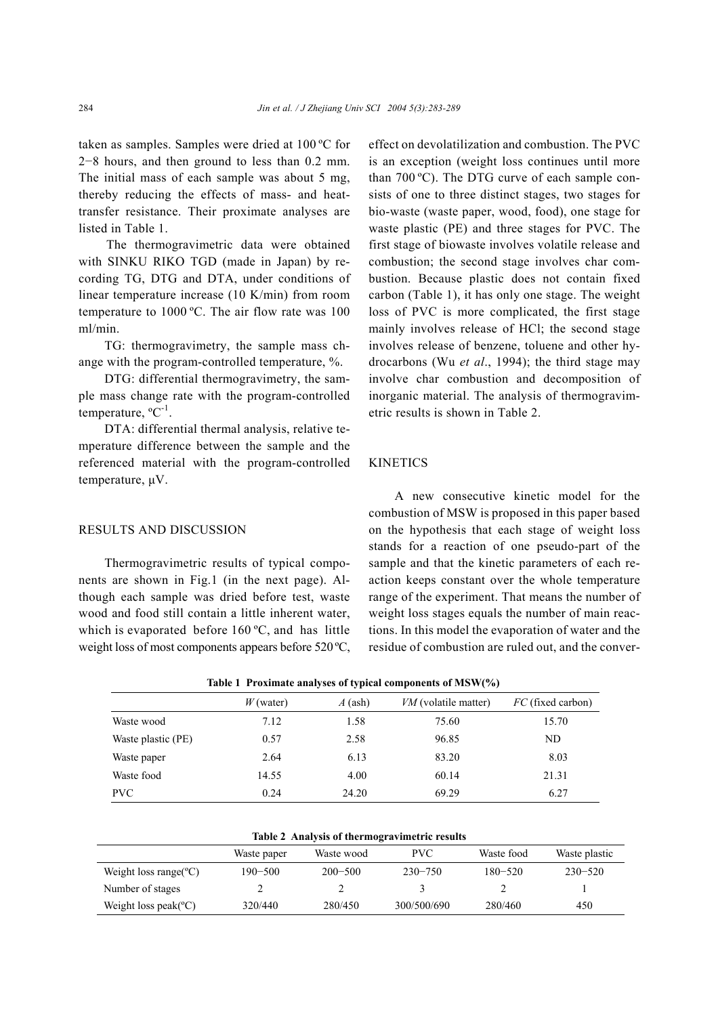taken as samples. Samples were dried at 100 ºC for 2−8 hours, and then ground to less than 0.2 mm. The initial mass of each sample was about 5 mg, thereby reducing the effects of mass- and heattransfer resistance. Their proximate analyses are listed in Table 1.

The thermogravimetric data were obtained with SINKU RIKO TGD (made in Japan) by recording TG, DTG and DTA, under conditions of linear temperature increase (10 K/min) from room temperature to 1000 ºC. The air flow rate was 100 ml/min.

TG: thermogravimetry, the sample mass change with the program-controlled temperature, %.

DTG: differential thermogravimetry, the sample mass change rate with the program-controlled temperature,  $^{\circ}C^{-1}$ .

DTA: differential thermal analysis, relative temperature difference between the sample and the referenced material with the program-controlled temperature,  $\mu$ V.

### RESULTS AND DISCUSSION

Thermogravimetric results of typical components are shown in Fig.1 (in the next page). Although each sample was dried before test, waste wood and food still contain a little inherent water, which is evaporated before 160 °C, and has little weight loss of most components appears before 520 °C, effect on devolatilization and combustion. The PVC is an exception (weight loss continues until more than 700 ºC). The DTG curve of each sample consists of one to three distinct stages, two stages for bio-waste (waste paper, wood, food), one stage for waste plastic (PE) and three stages for PVC. The first stage of biowaste involves volatile release and combustion; the second stage involves char combustion. Because plastic does not contain fixed carbon (Table 1), it has only one stage. The weight loss of PVC is more complicated, the first stage mainly involves release of HCl; the second stage involves release of benzene, toluene and other hydrocarbons (Wu *et al*., 1994); the third stage may involve char combustion and decomposition of inorganic material. The analysis of thermogravimetric results is shown in Table 2.

### **KINETICS**

A new consecutive kinetic model for the combustion of MSW is proposed in this paper based on the hypothesis that each stage of weight loss stands for a reaction of one pseudo-part of the sample and that the kinetic parameters of each reaction keeps constant over the whole temperature range of the experiment. That means the number of weight loss stages equals the number of main reactions. In this model the evaporation of water and the residue of combustion are ruled out, and the conver-

|                    | Table 1 Proximate analyses of typical components of $MSW(\%)$ |           |                      |                          |  |  |  |
|--------------------|---------------------------------------------------------------|-----------|----------------------|--------------------------|--|--|--|
|                    | $W$ (water)                                                   | $A$ (ash) | VM (volatile matter) | <i>FC</i> (fixed carbon) |  |  |  |
| Waste wood         | 7.12                                                          | 1.58      | 75.60                | 15.70                    |  |  |  |
| Waste plastic (PE) | 0.57                                                          | 2.58      | 96.85                | ND                       |  |  |  |
| Waste paper        | 2.64                                                          | 6.13      | 83.20                | 8.03                     |  |  |  |
| Waste food         | 14.55                                                         | 4.00      | 60.14                | 21.31                    |  |  |  |
| <b>PVC</b>         | 0.24                                                          | 24.20     | 69.29                | 6.27                     |  |  |  |

**Table 2 Analysis of thermogravimetric results**

|                                    | Waste paper | Waste wood  | <b>PVC</b>  | Waste food  | Waste plastic |  |  |
|------------------------------------|-------------|-------------|-------------|-------------|---------------|--|--|
| Weight loss range( ${}^{\circ}C$ ) | $190 - 500$ | $200 - 500$ | $230 - 750$ | $180 - 520$ | $230 - 520$   |  |  |
| Number of stages                   |             |             |             |             |               |  |  |
| Weight loss peak( ${}^{\circ}C$ )  | 320/440     | 280/450     | 300/500/690 | 280/460     | 450           |  |  |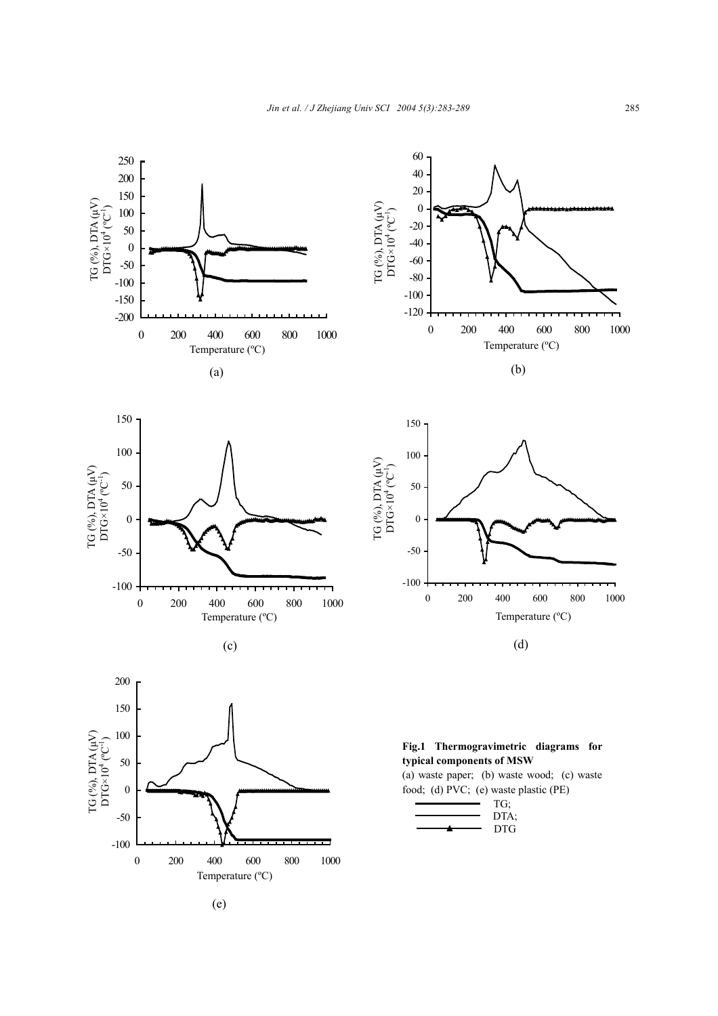

(e)

0 200 400 600 800 1000

٦

Temperature (ºC)

-100

-50

| $\mathbf{1}$ $\mathbf{1}$ |
|---------------------------|
| DIA;                      |
| DTG                       |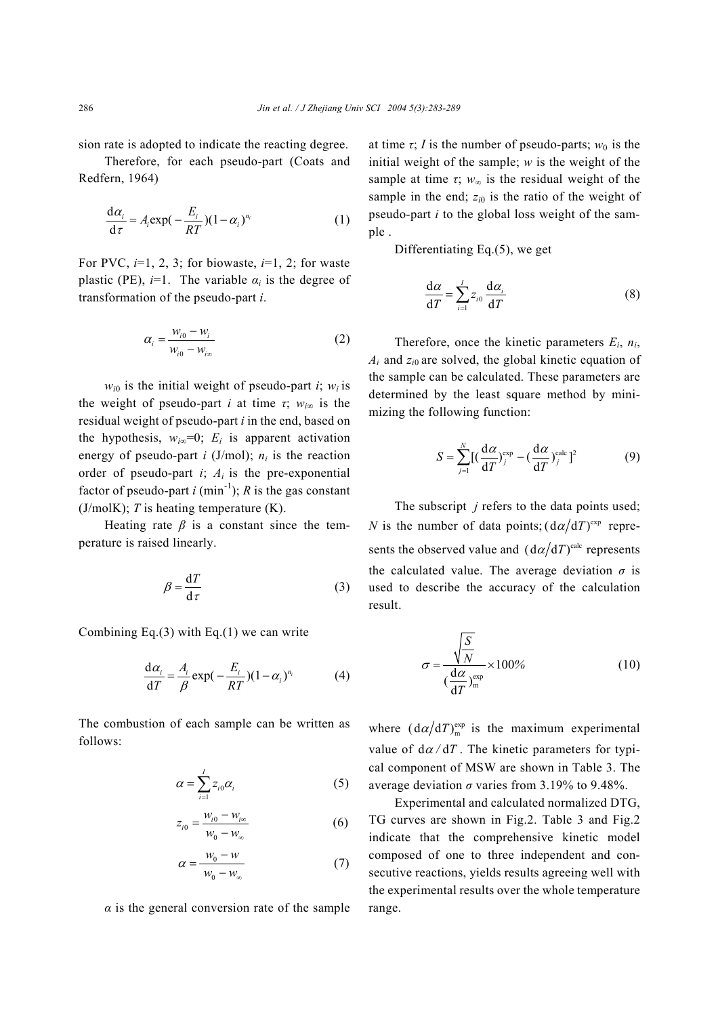sion rate is adopted to indicate the reacting degree.

Therefore, for each pseudo-part (Coats and Redfern, 1964)

$$
\frac{d\alpha_i}{d\tau} = A_i \exp(-\frac{E_i}{RT})(1 - \alpha_i)^{n_i}
$$
 (1)

For PVC,  $i=1, 2, 3$ ; for biowaste,  $i=1, 2$ ; for waste plastic (PE),  $i=1$ . The variable  $\alpha_i$  is the degree of transformation of the pseudo-part *i*.

$$
\alpha_i = \frac{w_{i0} - w_i}{w_{i0} - w_{i\infty}}
$$
 (2)

 $w_{i0}$  is the initial weight of pseudo-part *i*;  $w_i$  is the weight of pseudo-part *i* at time  $\tau$ ;  $w_{i\infty}$  is the residual weight of pseudo-part *i* in the end, based on the hypothesis,  $w_{i\infty}=0$ ;  $E_i$  is apparent activation energy of pseudo-part *i* (J/mol);  $n_i$  is the reaction order of pseudo-part  $i$ ;  $A_i$  is the pre-exponential factor of pseudo-part  $i$  (min<sup>-1</sup>); *R* is the gas constant (J/molK); *T* is heating temperature (K).

Heating rate  $\beta$  is a constant since the temperature is raised linearly.

$$
\beta = \frac{\mathrm{d}T}{\mathrm{d}\tau} \tag{3}
$$

Combining Eq.(3) with Eq.(1) we can write

$$
\frac{\mathrm{d}\alpha_i}{\mathrm{d}T} = \frac{A_i}{\beta} \exp\left(-\frac{E_i}{RT}\right)\left(1 - \alpha_i\right)^{n_i} \tag{4}
$$

The combustion of each sample can be written as follows:

$$
\alpha = \sum_{i=1}^{I} z_{i0} \alpha_i \tag{5}
$$

$$
z_{i0} = \frac{w_{i0} - w_{i\infty}}{w_0 - w_{\infty}}
$$
 (6)

$$
\alpha = \frac{w_0 - w}{w_0 - w_\infty} \tag{7}
$$

 $\alpha$  is the general conversion rate of the sample

at time  $\tau$ ; *I* is the number of pseudo-parts;  $w_0$  is the initial weight of the sample; *w* is the weight of the sample at time  $\tau$ ;  $w_\infty$  is the residual weight of the sample in the end;  $z_{i0}$  is the ratio of the weight of pseudo-part *i* to the global loss weight of the sample .

Differentiating Eq.(5), we get

$$
\frac{\mathrm{d}\alpha}{\mathrm{d}T} = \sum_{i=1}^{I} z_{i0} \frac{\mathrm{d}\alpha_i}{\mathrm{d}T} \tag{8}
$$

Therefore, once the kinetic parameters *Ei*, *ni*,  $A_i$  and  $z_{i0}$  are solved, the global kinetic equation of the sample can be calculated. These parameters are determined by the least square method by minimizing the following function:

$$
S = \sum_{j=1}^{N} \left[ \left( \frac{\mathrm{d}\alpha}{\mathrm{d}T} \right)_{j}^{\mathrm{exp}} - \left( \frac{\mathrm{d}\alpha}{\mathrm{d}T} \right)_{j}^{\mathrm{calc}} \right]^{2} \tag{9}
$$

The subscript *j* refers to the data points used; *N* is the number of data points;  $(d\alpha/dT)^{exp}$  represents the observed value and  $(d \alpha / dT)$ <sup>calc</sup> represents the calculated value. The average deviation  $\sigma$  is used to describe the accuracy of the calculation result.

$$
\sigma = \frac{\sqrt{\frac{S}{N}}}{(\frac{d\alpha}{dT})_{m}^{\exp}} \times 100\%
$$
 (10)

where  $(d\alpha/dT)_{m}^{\text{exp}}$  is the maximum experimental value of  $d\alpha/dT$ . The kinetic parameters for typical component of MSW are shown in Table 3. The average deviation  $\sigma$  varies from 3.19% to 9.48%.

Experimental and calculated normalized DTG, TG curves are shown in Fig.2. Table 3 and Fig.2 indicate that the comprehensive kinetic model composed of one to three independent and consecutive reactions, yields results agreeing well with the experimental results over the whole temperature range.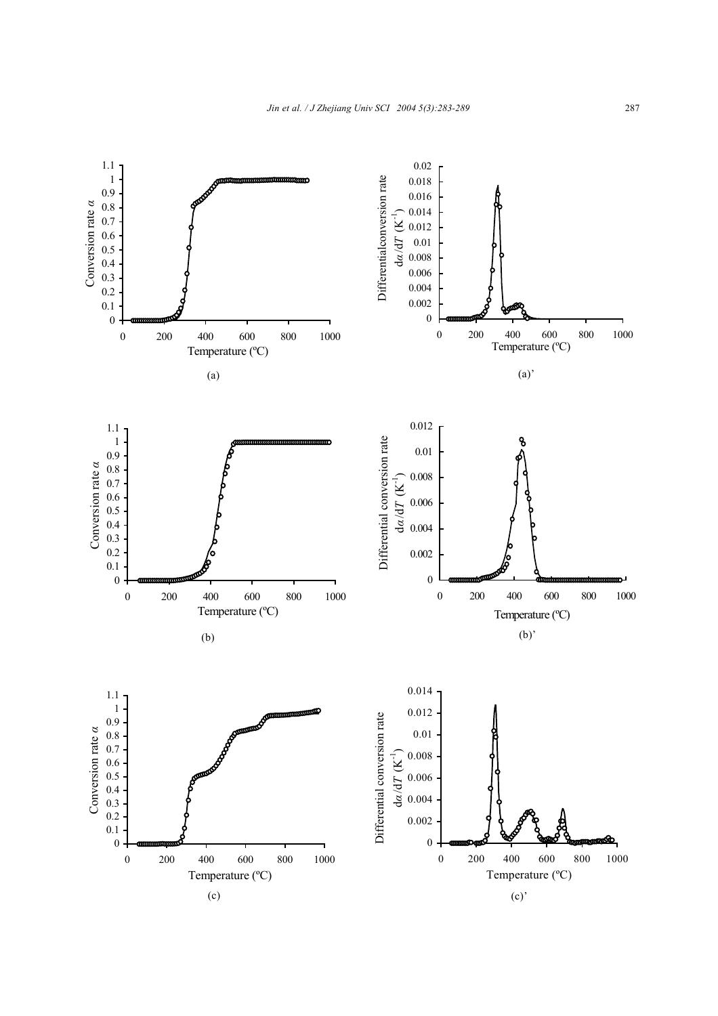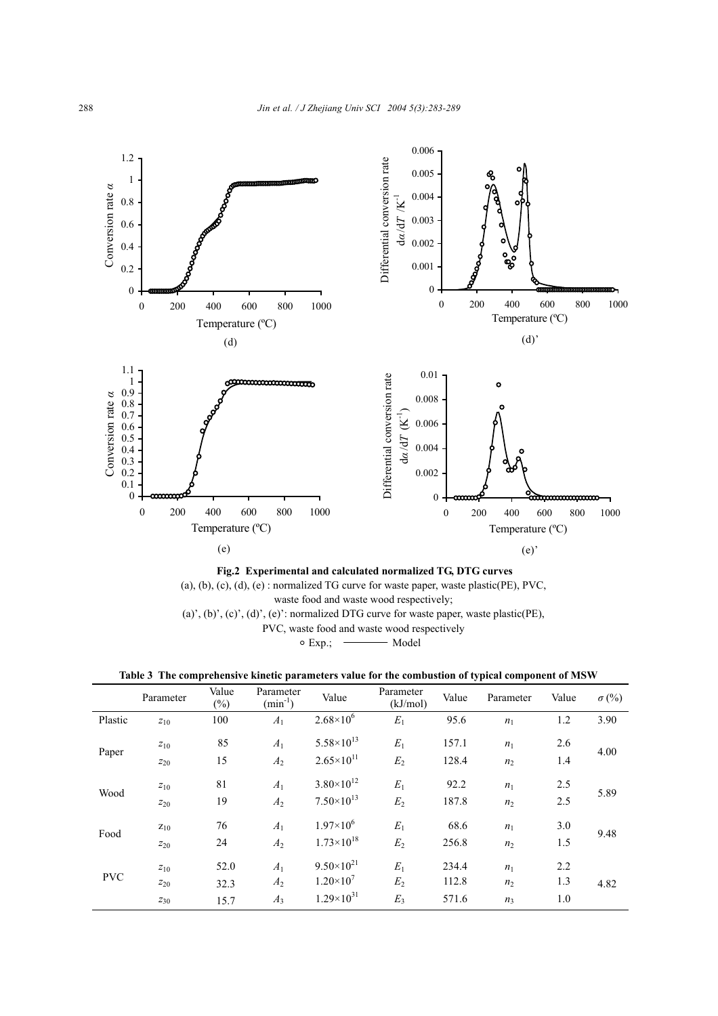

(a)', (b)', (c)', (d)', (e)': normalized DTG curve for waste paper, waste plastic(PE),

PVC, waste food and waste wood respectively

 $\circ$  Exp.;  $\longrightarrow$  Model

| Table 3 The comprehensive kinetic parameters value for the combustion of typical component of MSW |  |  |  |  |  |  |
|---------------------------------------------------------------------------------------------------|--|--|--|--|--|--|
|---------------------------------------------------------------------------------------------------|--|--|--|--|--|--|

|            | Parameter | Value<br>$(\%)$ | Parameter<br>$(min^{-1})$ | Value                 | Parameter<br>(kJ/mol) | Value | Parameter      | Value | $\sigma$ (%) |
|------------|-----------|-----------------|---------------------------|-----------------------|-----------------------|-------|----------------|-------|--------------|
| Plastic    | $z_{10}$  | 100             | A <sub>1</sub>            | $2.68 \times 10^{6}$  | $E_1$                 | 95.6  | $n_1$          | 1.2   | 3.90         |
|            | $z_{10}$  | 85              | A <sub>1</sub>            | $5.58\times10^{13}$   | $E_1$                 | 157.1 | $n_1$          | 2.6   | 4.00         |
| Paper      | $z_{20}$  | 15              | A <sub>2</sub>            | $2.65 \times 10^{11}$ | E <sub>2</sub>        | 128.4 | n <sub>2</sub> | 1.4   |              |
|            | $z_{10}$  | 81              | A <sub>1</sub>            | $3.80\times10^{12}$   | $E_1$                 | 92.2  | $n_1$          | 2.5   |              |
| Wood       | $z_{20}$  | 19              | A <sub>2</sub>            | $7.50\times10^{13}$   | E <sub>2</sub>        | 187.8 | n <sub>2</sub> | 2.5   | 5.89         |
|            | $Z_{10}$  | 76              | A <sub>1</sub>            | $1.97\times10^{6}$    | $E_1$                 | 68.6  | $n_1$          | 3.0   |              |
| Food       | $z_{20}$  | 24              | A <sub>2</sub>            | $1.73\times10^{18}$   | E <sub>2</sub>        | 256.8 | n <sub>2</sub> | 1.5   | 9.48         |
|            | $z_{10}$  | 52.0            | A <sub>1</sub>            | $9.50\times10^{21}$   | $E_1$                 | 234.4 | n <sub>1</sub> | 2.2   |              |
| <b>PVC</b> | $z_{20}$  | 32.3            | A <sub>2</sub>            | $1.20\times10^{7}$    | $E_2$                 | 112.8 | n <sub>2</sub> | 1.3   | 4.82         |
|            | $z_{30}$  | 15.7            | $A_3$                     | $1.29\times10^{31}$   | $E_3$                 | 571.6 | $n_3$          | 1.0   |              |